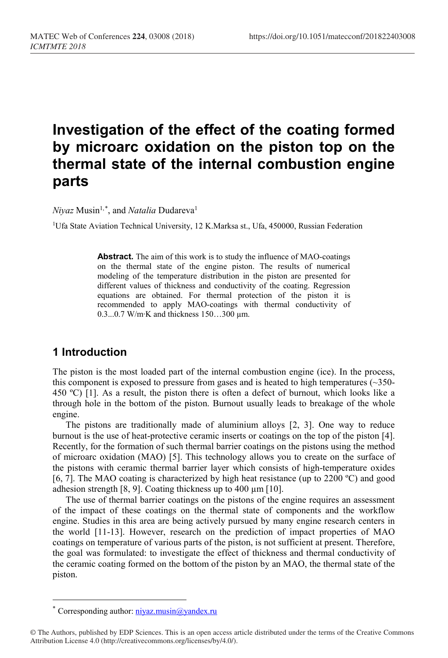# **Investigation of the effect of the coating formed by microarc oxidation on the piston top on the thermal state of the internal combustion engine parts**

*Niyaz* Musin<sup>1,[\\*](#page-0-0)</sup>, and *Natalia* Dudareva<sup>1</sup>

<sup>1</sup>Ufa State Aviation Technical University, 12 K.Marksa st., Ufa, 450000, Russian Federation

**Abstract.** The aim of this work is to study the influence of MAO-coatings on the thermal state of the engine piston. The results of numerical modeling of the temperature distribution in the piston are presented for different values of thickness and conductivity of the coating. Regression equations are obtained. For thermal protection of the piston it is recommended to apply MAO-coatings with thermal conductivity of 0.3...0.7 W/m∙K and thickness 150…300 µm.

# **1 Introduction**

The piston is the most loaded part of the internal combustion engine (ice). In the process, this component is exposed to pressure from gases and is heated to high temperatures  $(\sim 350$ -450 ºС) [1]. As a result, the piston there is often a defect of burnout, which looks like a through hole in the bottom of the piston. Burnout usually leads to breakage of the whole engine.

The pistons are traditionally made of aluminium alloys [2, 3]. One way to reduce burnout is the use of heat-protective ceramic inserts or coatings on the top of the piston [4]. Recently, for the formation of such thermal barrier coatings on the pistons using the method of microarc oxidation (MAO) [5]. This technology allows you to create on the surface of the pistons with ceramic thermal barrier layer which consists of high-temperature oxides [6, 7]. The MAO coating is characterized by high heat resistance (up to 2200 ºC) and good adhesion strength [8, 9]. Coating thickness up to  $400 \mu m$  [10].

The use of thermal barrier coatings on the pistons of the engine requires an assessment of the impact of these coatings on the thermal state of components and the workflow engine. Studies in this area are being actively pursued by many engine research centers in the world [11-13]. However, research on the prediction of impact properties of MAO coatings on temperature of various parts of the piston, is not sufficient at present. Therefore, the goal was formulated: to investigate the effect of thickness and thermal conductivity of the ceramic coating formed on the bottom of the piston by an MAO, the thermal state of the piston.

 $\overline{a}$ 

<sup>\*</sup> Corresponding author:  $\frac{\text{div}}{\text{div}}$  musin $\omega$  vandex.ru

<span id="page-0-0"></span><sup>©</sup> The Authors, published by EDP Sciences. This is an open access article distributed under the terms of the Creative Commons Attribution License 4.0 (http://creativecommons.org/licenses/by/4.0/).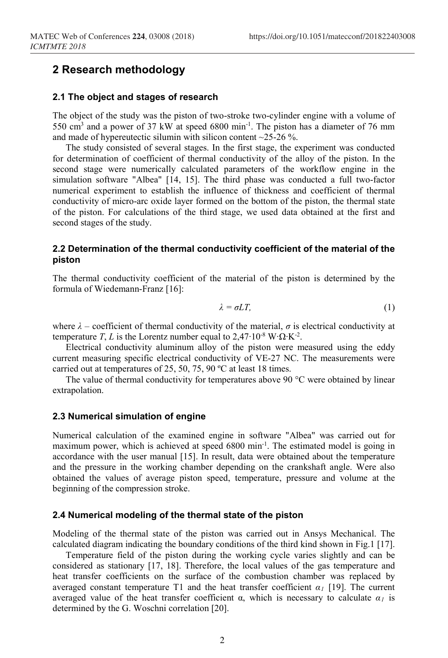# **2 Research methodology**

#### **2.1 The object and stages of research**

The object of the study was the piston of two-stroke two-cylinder engine with a volume of 550 cm3 and a power of 37 kW at speed 6800 min-1. The piston has a diameter of 76 mm and made of hypereutectic silumin with silicon content ~25-26 %.

The study consisted of several stages. In the first stage, the experiment was conducted for determination of coefficient of thermal conductivity of the alloy of the piston. In the second stage were numerically calculated parameters of the workflow engine in the simulation software "Albea" [14, 15]. The third phase was conducted a full two-factor numerical experiment to establish the influence of thickness and coefficient of thermal conductivity of micro-arc oxide layer formed on the bottom of the piston, the thermal state of the piston. For calculations of the third stage, we used data obtained at the first and second stages of the study.

#### **2.2 Determination of the thermal conductivity coefficient of the material of the piston**

The thermal conductivity coefficient of the material of the piston is determined by the formula of Wiedemann-Franz [16]:

$$
\lambda = \sigma L T,\tag{1}
$$

where  $\lambda$  – coefficient of thermal conductivity of the material,  $\sigma$  is electrical conductivity at temperature *T*, *L* is the Lorentz number equal to  $2.47 \cdot 10^{-8}$  W $\cdot \Omega$ ⋅K<sup>-2</sup>.

Electrical conductivity aluminum alloy of the piston were measured using the eddy current measuring specific electrical conductivity of VE-27 NC. The measurements were carried out at temperatures of 25, 50, 75, 90 ºC at least 18 times.

The value of thermal conductivity for temperatures above 90 °C were obtained by linear extrapolation.

#### **2.3 Numerical simulation of engine**

Numerical calculation of the examined engine in software "Albea" was carried out for maximum power, which is achieved at speed 6800 min-1. The estimated model is going in accordance with the user manual [15]. In result, data were obtained about the temperature and the pressure in the working chamber depending on the crankshaft angle. Were also obtained the values of average piston speed, temperature, pressure and volume at the beginning of the compression stroke.

#### **2.4 Numerical modeling of the thermal state of the piston**

Modeling of the thermal state of the piston was carried out in Ansys Mechanical. The calculated diagram indicating the boundary conditions of the third kind shown in Fig.1 [17].

Temperature field of the piston during the working cycle varies slightly and can be considered as stationary [17, 18]. Therefore, the local values of the gas temperature and heat transfer coefficients on the surface of the combustion chamber was replaced by averaged constant temperature T1 and the heat transfer coefficient  $\alpha_l$  [19]. The current averaged value of the heat transfer coefficient  $\alpha$ , which is necessary to calculate  $\alpha$ *<sub>l</sub>* is determined by the G. Woschni correlation [20].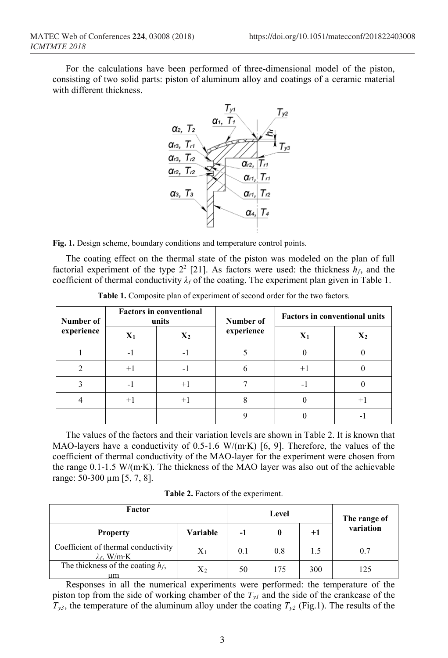For the calculations have been performed of three-dimensional model of the piston, consisting of two solid parts: piston of aluminum alloy and coatings of a ceramic material with different thickness.



**Fig. 1.** Design scheme, boundary conditions and temperature control points.

The coating effect on the thermal state of the piston was modeled on the plan of full factorial experiment of the type  $2^2$  [21]. As factors were used: the thickness  $h_f$ , and the coefficient of thermal conductivity  $\lambda_f$  of the coating. The experiment plan given in Table 1.

| Number of<br>experience | <b>Factors in conventional</b><br>units |                          | Number of  | <b>Factors in conventional units</b> |                |
|-------------------------|-----------------------------------------|--------------------------|------------|--------------------------------------|----------------|
|                         | $X_1$                                   | $X_2$                    | experience | $\mathbf{X}_1$                       | $\mathbf{X}_2$ |
|                         | $\overline{\phantom{0}}$                |                          |            |                                      |                |
|                         | $+1$                                    | $\overline{\phantom{a}}$ |            | $+1$                                 |                |
|                         | $\overline{\phantom{0}}$                |                          |            |                                      |                |
|                         | $+1$                                    |                          |            |                                      | $^+$           |
|                         |                                         |                          |            |                                      |                |

**Table 1.** Composite plan of experiment of second order for the two factors.

The values of the factors and their variation levels are shown in Table 2. It is known that MAO-layers have a conductivity of 0.5-1.6 W/(m∙K) [6, 9]. Therefore, the values of the coefficient of thermal conductivity of the MAO-layer for the experiment were chosen from the range 0.1-1.5 W/(m∙K). The thickness of the MAO layer was also out of the achievable range: 50-300 µm [5, 7, 8].

**Table 2.** Factors of the experiment.

| Factor                                                     |                |     | Level | The range of |           |
|------------------------------------------------------------|----------------|-----|-------|--------------|-----------|
| <b>Property</b>                                            | Variable       | -1  | 0     | $+1$         | variation |
| Coefficient of thermal conductivity<br>$\lambda_f$ , W/m·K | $X_1$          | 0.1 | 0.8   | 1.5          | 0.7       |
| The thickness of the coating $h_f$ ,<br>um                 | $\mathrm{X}_2$ | 50  | 175   | 300          | 125       |

Responses in all the numerical experiments were performed: the temperature of the piston top from the side of working chamber of the  $T_{yl}$  and the side of the crankcase of the  $T_{y3}$ , the temperature of the aluminum alloy under the coating  $T_{y2}$  (Fig.1). The results of the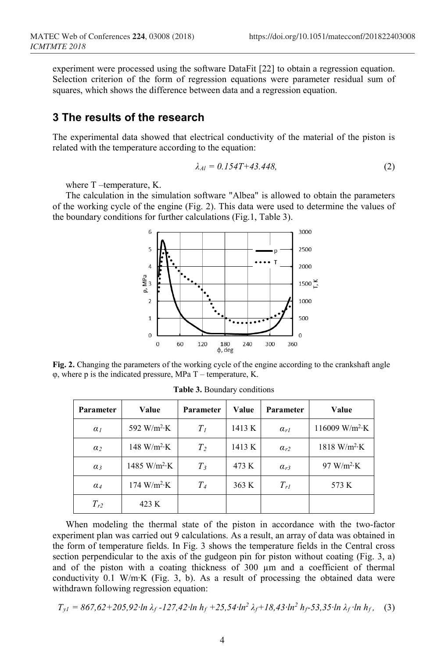experiment were processed using the software DataFit [22] to obtain a regression equation. Selection criterion of the form of regression equations were parameter residual sum of squares, which shows the difference between data and a regression equation.

### **3 The results of the research**

The experimental data showed that electrical conductivity of the material of the piston is related with the temperature according to the equation:

$$
\lambda_{Al} = 0.154T + 43.448,\tag{2}
$$

where T –temperature, K.

The calculation in the simulation software "Albea" is allowed to obtain the parameters of the working cycle of the engine (Fig. 2). This data were used to determine the values of the boundary conditions for further calculations (Fig.1, Table 3).



**Fig. 2.** Changing the parameters of the working cycle of the engine according to the crankshaft angle φ, where p is the indicated pressure, MPa T – temperature, K.

| Parameter  | Value                              | Parameter      | Value  | Parameter     | Value                               |
|------------|------------------------------------|----------------|--------|---------------|-------------------------------------|
| $\alpha_I$ | 592 W/m <sup>2</sup> ·K            | T <sub>1</sub> | 1413 K | $\alpha_{rl}$ | 116009 W/m <sup>2</sup> ·K          |
| $\alpha_2$ | $148 \text{ W/m}^2 \cdot \text{K}$ | T <sub>2</sub> | 1413 K | $\alpha_{r2}$ | $1818 \text{ W/m}^2 \cdot \text{K}$ |
| $\alpha_3$ | 1485 W/m <sup>2</sup> ·K           | $T_3$          | 473 K  | $\alpha_{r3}$ | 97 W/ $m^2$ ·K                      |
| $\alpha_4$ | 174 W/m <sup>2</sup> K             | T <sub>4</sub> | 363 K  | $T_{rl}$      | 573 K                               |
| $T_{r2}$   | 423 K                              |                |        |               |                                     |

**Table 3.** Boundary conditions

When modeling the thermal state of the piston in accordance with the two-factor experiment plan was carried out 9 calculations. As a result, an array of data was obtained in the form of temperature fields. In Fig. 3 shows the temperature fields in the Central cross section perpendicular to the axis of the gudgeon pin for piston without coating (Fig. 3, a) and of the piston with a coating thickness of 300 µm and a coefficient of thermal conductivity 0.1 W/m∙K (Fig. 3, b). As a result of processing the obtained data were withdrawn following regression equation:

$$
T_{yl} = 867,62 + 205,92 \cdot \ln \lambda_f - 127,42 \cdot \ln h_f + 25,54 \cdot \ln^2 \lambda_f + 18,43 \cdot \ln^2 h_f - 53,35 \cdot \ln \lambda_f \cdot \ln h_f, \quad (3)
$$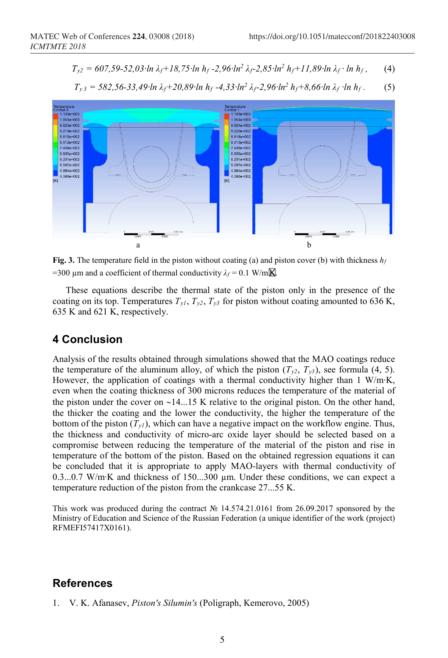$$
T_{y2} = 607,59-52,03 \cdot \ln \lambda_f + 18,75 \cdot \ln \lambda_f - 2,96 \cdot \ln^2 \lambda_f - 2,85 \cdot \ln^2 \lambda_f + 11,89 \cdot \ln \lambda_f \cdot \ln \lambda_f, \qquad (4)
$$



*Ty <sup>3</sup> = 582,56-33,49∙ln λf+20,89∙ln hf -4,33∙ln2 λf-2,96∙ln2 hf+8,66∙ln λ<sup>f</sup> ∙ln hf .* (5)

**Fig. 3.** The temperature field in the piston without coating (a) and piston cover (b) with thickness  $h_f$ =300 µm and a coefficient of thermal conductivity  $\lambda_f = 0.1$  W/m**K**.

These equations describe the thermal state of the piston only in the presence of the coating on its top. Temperatures  $T_{y1}$ ,  $T_{y2}$ ,  $T_{y3}$  for piston without coating amounted to 636 K, 635 K and 621 K, respectively.

## **4 Conclusion**

Analysis of the results obtained through simulations showed that the MAO coatings reduce the temperature of the aluminum alloy, of which the piston  $(T_{v2}, T_{v3})$ , see formula (4, 5). However, the application of coatings with a thermal conductivity higher than 1 W/m∙K, even when the coating thickness of 300 microns reduces the temperature of the material of the piston under the cover on ∼14...15 K relative to the original piston. On the other hand, the thicker the coating and the lower the conductivity, the higher the temperature of the bottom of the piston  $(T_{\nu l})$ , which can have a negative impact on the workflow engine. Thus, the thickness and conductivity of micro-arc oxide layer should be selected based on a compromise between reducing the temperature of the material of the piston and rise in temperature of the bottom of the piston. Based on the obtained regression equations it can be concluded that it is appropriate to apply MAO-layers with thermal conductivity of 0.3...0.7 W/m∙K and thickness of 150...300 µm. Under these conditions, we can expect a temperature reduction of the piston from the crankcase 27...55 K.

This work was produced during the contract № 14.574.21.0161 from 26.09.2017 sponsored by the Ministry of Education and Science of the Russian Federation (a unique identifier of the work (project) RFMEFI57417X0161).

## **References**

1. V. K. Afanasev, *Piston's Silumin's* (Poligraph, Kemerovo, 2005)